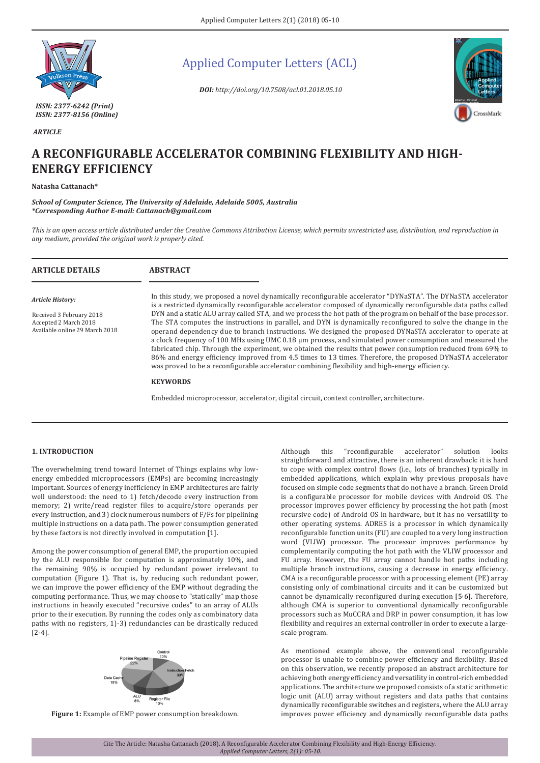

 *ARTICLE*

Applied Computer Letters (ACL)

*DOI: http://doi.org/10.7508/acl.01.2018.05.10*



# **A RECONFIGURABLE ACCELERATOR COMBINING FLEXIBILITY AND HIGH-ENERGY EFFICIENCY**

## **Natasha Cattanach\***

*School of Computer Science, The University of Adelaide, Adelaide 5005, Australia \*Corresponding Author E-mail: Cattanach@gmail.com*

*This is an open access article distributed under the Creative Commons Attribution License, which permits unrestricted use, distribution, and reproduction in any medium, provided the original work is properly cited.*

| <b>ARTICLE DETAILS</b>                                                              | <b>ABSTRACT</b>                                                                                                                                                                                                                                                                                                                                                                                                                                                                                                                                                                                                                                                                                                                                                                              |
|-------------------------------------------------------------------------------------|----------------------------------------------------------------------------------------------------------------------------------------------------------------------------------------------------------------------------------------------------------------------------------------------------------------------------------------------------------------------------------------------------------------------------------------------------------------------------------------------------------------------------------------------------------------------------------------------------------------------------------------------------------------------------------------------------------------------------------------------------------------------------------------------|
| Article History:                                                                    | In this study, we proposed a novel dynamically reconfigurable accelerator "DYNaSTA". The DYNaSTA accelerator<br>is a restricted dynamically reconfigurable accelerator composed of dynamically reconfigurable data paths called                                                                                                                                                                                                                                                                                                                                                                                                                                                                                                                                                              |
| Received 3 February 2018<br>Accepted 2 March 2018<br>Available online 29 March 2018 | DYN and a static ALU array called STA, and we process the hot path of the program on behalf of the base processor.<br>The STA computes the instructions in parallel, and DYN is dynamically reconfigured to solve the change in the<br>operand dependency due to branch instructions. We designed the proposed DYNaSTA accelerator to operate at<br>a clock frequency of 100 MHz using UMC 0.18 µm process, and simulated power consumption and measured the<br>fabricated chip. Through the experiment, we obtained the results that power consumption reduced from 69% to<br>86% and energy efficiency improved from 4.5 times to 13 times. Therefore, the proposed DYNaSTA accelerator<br>was proved to be a reconfigurable accelerator combining flexibility and high-energy efficiency. |
|                                                                                     | <b>KEYWORDS</b>                                                                                                                                                                                                                                                                                                                                                                                                                                                                                                                                                                                                                                                                                                                                                                              |
|                                                                                     | Embedded microprocessor, accelerator, digital circuit, context controller, architecture.                                                                                                                                                                                                                                                                                                                                                                                                                                                                                                                                                                                                                                                                                                     |

# **1. INTRODUCTION**

The overwhelming trend toward Internet of Things explains why lowenergy embedded microprocessors (EMPs) are becoming increasingly important. Sources of energy inefficiency in EMP architectures are fairly well understood: the need to 1) fetch/decode every instruction from memory; 2) write/read register files to acquire/store operands per every instruction, and 3) clock numerous numbers of F/Fs for pipelining multiple instructions on a data path. The power consumption generated by these factors is not directly involved in computation [1].

Among the power consumption of general EMP, the proportion occupied by the ALU responsible for computation is approximately 10%, and the remaining 90% is occupied by redundant power irrelevant to computation (Figure 1). That is, by reducing such redundant power, we can improve the power efficiency of the EMP without degrading the computing performance. Thus, we may choose to "statically" map those instructions in heavily executed "recursive codes" to an array of ALUs prior to their execution. By running the codes only as combinatory data paths with no registers, 1)-3) redundancies can be drastically reduced [2-4].



**Figure 1:** Example of EMP power consumption breakdown.

Although this "reconfigurable accelerator" solution looks straightforward and attractive, there is an inherent drawback: it is hard to cope with complex control flows (i.e., lots of branches) typically in embedded applications, which explain why previous proposals have focused on simple code segments that do not have a branch. Green Droid is a configurable processor for mobile devices with Android OS. The processor improves power efficiency by processing the hot path (most recursive code) of Android OS in hardware, but it has no versatility to other operating systems. ADRES is a processor in which dynamically reconfigurable function units (FU) are coupled to a very long instruction word (VLIW) processor. The processor improves performance by complementarily computing the hot path with the VLIW processor and FU array. However, the FU array cannot handle hot paths including multiple branch instructions, causing a decrease in energy efficiency. CMA is a reconfigurable processor with a processing element (PE) array consisting only of combinational circuits and it can be customized but cannot be dynamically reconfigured during execution [5<sup>,</sup> 6]. Therefore, although CMA is superior to conventional dynamically reconfigurable processors such as MuCCRA and DRP in power consumption, it has low flexibility and requires an external controller in order to execute a largescale program.

As mentioned example above, the conventional reconfigurable processor is unable to combine power efficiency and flexibility. Based on this observation, we recently proposed an abstract architecture for achieving both energy efficiency and versatility in control-rich embedded applications. The architecture we proposed consists of a static arithmetic logic unit (ALU) array without registers and data paths that contains dynamically reconfigurable switches and registers, where the ALU array improves power efficiency and dynamically reconfigurable data paths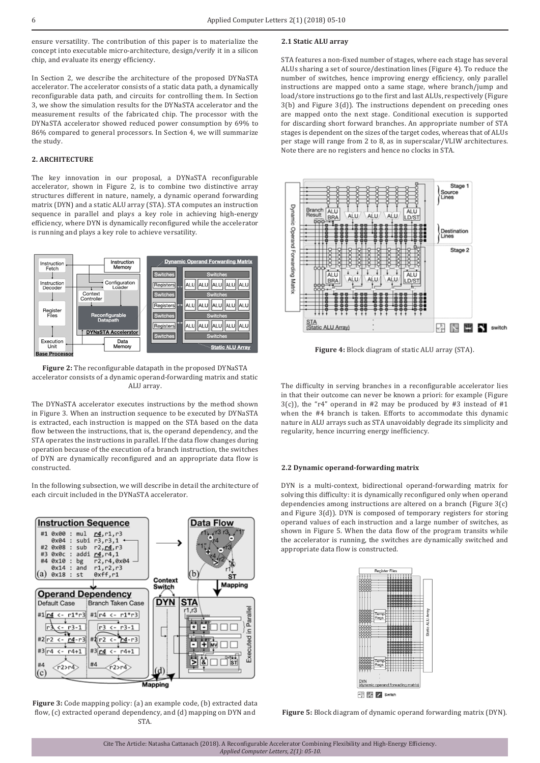ensure versatility. The contribution of this paper is to materialize the concept into executable micro-architecture, design/verify it in a silicon chip, and evaluate its energy efficiency.

In Section 2, we describe the architecture of the proposed DYNaSTA accelerator. The accelerator consists of a static data path, a dynamically reconfigurable data path, and circuits for controlling them. In Section 3, we show the simulation results for the DYNaSTA accelerator and the measurement results of the fabricated chip. The processor with the DYNaSTA accelerator showed reduced power consumption by 69% to 86% compared to general processors. In Section 4, we will summarize the study.

# **2. ARCHITECTURE**

The key innovation in our proposal, a DYNaSTA reconfigurable accelerator, shown in Figure 2, is to combine two distinctive array structures different in nature, namely, a dynamic operand forwarding matrix (DYN) and a static ALU array (STA). STA computes an instruction sequence in parallel and plays a key role in achieving high-energy efficiency, where DYN is dynamically reconfigured while the accelerator is running and plays a key role to achieve versatility.



**Figure 2:** The reconfigurable datapath in the proposed DYNaSTA accelerator consists of a dynamic operand-forwarding matrix and static ALU array.

The DYNaSTA accelerator executes instructions by the method shown in Figure 3. When an instruction sequence to be executed by DYNaSTA is extracted, each instruction is mapped on the STA based on the data flow between the instructions, that is, the operand dependency, and the STA operates the instructions in parallel. If the data flow changes during operation because of the execution of a branch instruction, the switches of DYN are dynamically reconfigured and an appropriate data flow is constructed.

In the following subsection, we will describe in detail the architecture of each circuit included in the DYNaSTA accelerator.



**Figure 3:** Code mapping policy: (a) an example code, (b) extracted data flow, (c) extracted operand dependency, and (d) mapping on DYN and STA.

## **2.1 Static ALU array**

STA features a non-fixed number of stages, where each stage has several ALUs sharing a set of source/destination lines (Figure 4). To reduce the number of switches, hence improving energy efficiency, only parallel instructions are mapped onto a same stage, where branch/jump and load/store instructions go to the first and last ALUs, respectively (Figure 3(b) and Figure 3(d)). The instructions dependent on preceding ones are mapped onto the next stage. Conditional execution is supported for discarding short forward branches. An appropriate number of STA stages is dependent on the sizes of the target codes, whereas that of ALUs per stage will range from 2 to 8, as in superscalar/VLIW architectures. Note there are no registers and hence no clocks in STA.



**Figure 4:** Block diagram of static ALU array (STA).

The difficulty in serving branches in a reconfigurable accelerator lies in that their outcome can never be known a priori: for example (Figure  $3(c)$ , the "r4" operand in #2 may be produced by #3 instead of #1 when the #4 branch is taken. Efforts to accommodate this dynamic nature in ALU arrays such as STA unavoidably degrade its simplicity and regularity, hence incurring energy inefficiency.

### **2.2 Dynamic operand-forwarding matrix**

DYN is a multi-context, bidirectional operand-forwarding matrix for solving this difficulty: it is dynamically reconfigured only when operand dependencies among instructions are altered on a branch (Figure 3(c) and Figure 3(d)). DYN is composed of temporary registers for storing operand values of each instruction and a large number of switches, as shown in Figure 5. When the data flow of the program transits while the accelerator is running, the switches are dynamically switched and appropriate data flow is constructed.



**Figure 5:** Block diagram of dynamic operand forwarding matrix (DYN).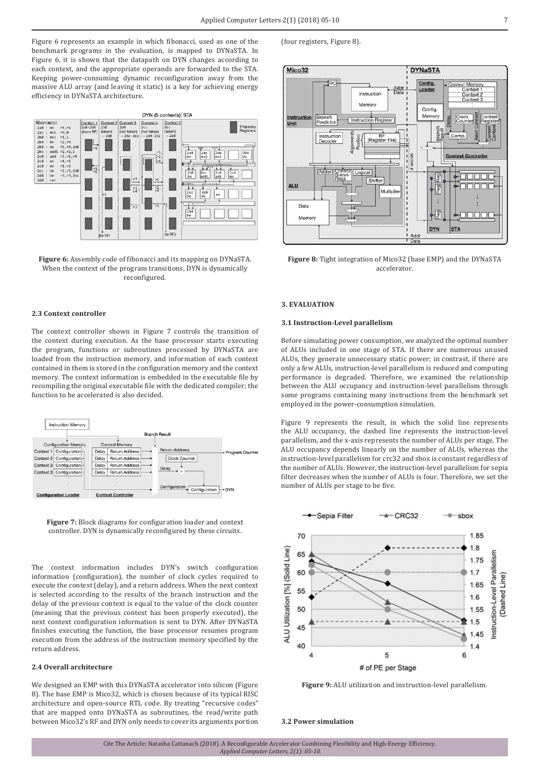Figure 6 represents an example in which fibonacci, used as one of the benchmark programs in the evaluation, is mapped to DYNaSTA. In Figure 6, it is shown that the datapath on DYN changes according to each context, and the appropriate operands are forwarded to the STA. Keeping power-consuming dynamic reconfiguration away from the massive ALU array (and leaving it static) is a key for achieving energy efficiency in DYNaSTA architecture.



Figure 6: Assembly code of fibonacci and its mapping on DYNaSTA. When the context of the program transitions, DYN is dynamically reconfigured.

# **2.3 Context controller**

The context controller shown in Figure 7 controls the transition of the context during execution. As the base processor starts executing the program, functions or subroutines processed by DYNaSTA are loaded from the instruction memory, and information of each context contained in them is stored in the configuration memory and the context memory. The context information is embedded in the executable file by recompiling the original executable file with the dedicated compiler; the function to be accelerated is also decided.



**Figure 7:** Block diagrams for configuration loader and context controller. DYN is dynamically reconfigured by these circuits.

The context information includes DYN's switch configuration information (configuration), the number of clock cycles required to execute the context (delay), and a return address. When the next context is selected according to the results of the branch instruction and the delay of the previous context is equal to the value of the clock counter (meaning that the previous context has been properly executed), the next context configuration information is sent to DYN. After DYNaSTA finishes executing the function, the base processor resumes program execution from the address of the instruction memory specified by the return address.

## **2.4 Overall architecture**

We designed an EMP with this DYNaSTA accelerator into silicon (Figure 8). The base EMP is Mico32, which is chosen because of its typical RISC architecture and open-source RTL code. By treating "recursive codes" that are mapped onto DYNaSTA as subroutines, the read/write path between Mico32's RF and DYN only needs to cover its arguments portion

<sup>(</sup>four registers, Figure 8).



**Figure 8:** Tight integration of Mico32 (base EMP) and the DYNaSTA accelerator.

#### **3. EVALUATION**

## **3.1 Instruction-Level parallelism**

Before simulating power consumption, we analyzed the optimal number of ALUs included in one stage of STA. If there are numerous unused ALUs, they generate unnecessary static power; in contrast, if there are only a few ALUs, instruction-level parallelism is reduced and computing performance is degraded. Therefore, we examined the relationship between the ALU occupancy and instruction-level parallelism through some programs containing many instructions from the benchmark set employed in the power-consumption simulation.

Figure 9 represents the result, in which the solid line represents the ALU occupancy, the dashed line represents the instruction-level parallelism, and the x-axis represents the number of ALUs per stage. The ALU occupancy depends linearly on the number of ALUs, whereas the instruction-level parallelism for crc32 and sbox is constant regardless of the number of ALUs. However, the instruction-level parallelism for sepia filter decreases when the number of ALUs is four. Therefore, we set the number of ALUs per stage to be five.



**Figure 9:** ALU utilization and instruction-level parallelism.

#### **3.2 Power simulation**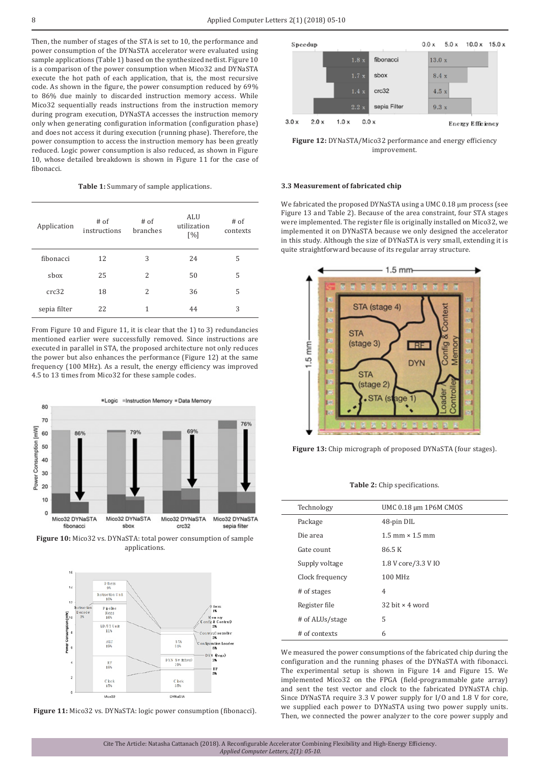Then, the number of stages of the STA is set to 10, the performance and power consumption of the DYNaSTA accelerator were evaluated using sample applications (Table 1) based on the synthesized netlist. Figure 10 is a comparison of the power consumption when Mico32 and DYNaSTA execute the hot path of each application, that is, the most recursive code. As shown in the figure, the power consumption reduced by 69% to 86% due mainly to discarded instruction memory access. While Mico32 sequentially reads instructions from the instruction memory during program execution, DYNaSTA accesses the instruction memory only when generating configuration information (configuration phase) and does not access it during execution (running phase). Therefore, the power consumption to access the instruction memory has been greatly reduced. Logic power consumption is also reduced, as shown in Figure 10, whose detailed breakdown is shown in Figure 11 for the case of fibonacci.

**Table 1:** Summary of sample applications.

| Application  | $#$ of<br>instructions | $#$ of<br>branches | ALU<br>utilization<br>[%] | $#$ of<br>contexts |
|--------------|------------------------|--------------------|---------------------------|--------------------|
| fibonacci    | 12                     | 3                  | 24                        | 5                  |
| sbox         | 25                     | $\overline{c}$     | 50                        | 5                  |
| crc32        | 18                     | $\overline{c}$     | 36                        | 5                  |
| sepia filter | 22                     | 1                  | 44                        | 3                  |

From Figure 10 and Figure 11, it is clear that the 1) to 3) redundancies mentioned earlier were successfully removed. Since instructions are executed in parallel in STA, the proposed architecture not only reduces the power but also enhances the performance (Figure 12) at the same frequency (100 MHz). As a result, the energy efficiency was improved 4.5 to 13 times from Mico32 for these sample codes.



**Figure 10:** Mico32 vs. DYNaSTA: total power consumption of sample applications.



**Figure 11:** Mico32 vs. DYNaSTA: logic power consumption (fibonacci).



**Figure 12:** DYNaSTA/Mico32 performance and energy efficiency improvement.

#### **3.3 Measurement of fabricated chip**

We fabricated the proposed DYNaSTA using a UMC 0.18  $\mu$ m process (see Figure 13 and Table 2). Because of the area constraint, four STA stages were implemented. The register file is originally installed on Mico32, we implemented it on DYNaSTA because we only designed the accelerator in this study. Although the size of DYNaSTA is very small, extending it is quite straightforward because of its regular array structure.



**Figure 13:** Chip micrograph of proposed DYNaSTA (four stages).

**Table 2:** Chip specifications.

| Technology      | UMC 0.18 µm 1P6M CMOS    |
|-----------------|--------------------------|
| Package         | 48-pin DIL               |
| Die area        | $1.5$ mm $\times$ 1.5 mm |
| Gate count      | 86.5 K                   |
| Supply voltage  | 1.8 V core/3.3 V IO      |
| Clock frequency | 100 MHz                  |
| # of stages     | 4                        |
| Register file   | $32$ bit $\times$ 4 word |
| # of ALUs/stage | 5                        |
| # of contexts   | 6                        |
|                 |                          |

We measured the power consumptions of the fabricated chip during the configuration and the running phases of the DYNaSTA with fibonacci. The experimental setup is shown in Figure 14 and Figure 15. We implemented Mico32 on the FPGA (field-programmable gate array) and sent the test vector and clock to the fabricated DYNaSTA chip. Since DYNaSTA require 3.3 V power supply for I/O and 1.8 V for core, we supplied each power to DYNaSTA using two power supply units. Then, we connected the power analyzer to the core power supply and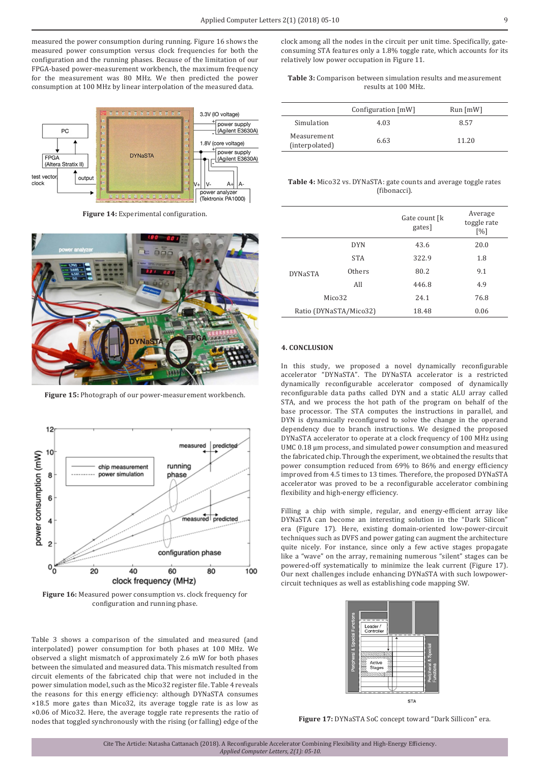measured the power consumption during running. Figure 16 shows the measured power consumption versus clock frequencies for both the configuration and the running phases. Because of the limitation of our FPGA-based power-measurement workbench, the maximum frequency for the measurement was 80 MHz. We then predicted the power consumption at 100 MHz by linear interpolation of the measured data.



**Figure 14:** Experimental configuration.



**Figure 15:** Photograph of our power-measurement workbench.



**Figure 16:** Measured power consumption vs. clock frequency for configuration and running phase.

Table 3 shows a comparison of the simulated and measured (and interpolated) power consumption for both phases at 100 MHz. We observed a slight mismatch of approximately 2.6 mW for both phases between the simulated and measured data. This mismatch resulted from circuit elements of the fabricated chip that were not included in the power simulation model, such as the Mico32 register file. Table 4 reveals the reasons for this energy efficiency: although DYNaSTA consumes ×18.5 more gates than Mico32, its average toggle rate is as low as ×0.06 of Mico32. Here, the average toggle rate represents the ratio of nodes that toggled synchronously with the rising (or falling) edge of the clock among all the nodes in the circuit per unit time. Specifically, gateconsuming STA features only a 1.8% toggle rate, which accounts for its relatively low power occupation in Figure 11.

**Table 3:** Comparison between simulation results and measurement results at 100 MHz.

|                               | Configuration [mW] | $Run$ [mW] |
|-------------------------------|--------------------|------------|
| Simulation                    | 4.03               | 8.57       |
| Measurement<br>(interpolated) | 6.63               | 11.20      |

**Table 4:** Mico32 vs. DYNaSTA: gate counts and average toggle rates (fibonacci).

|                        |            | Gate count [k]<br>gates] | Average<br>toggle rate<br>[%] |
|------------------------|------------|--------------------------|-------------------------------|
|                        | <b>DYN</b> | 43.6                     | 20.0                          |
|                        | <b>STA</b> | 322.9                    | 1.8                           |
| <b>DYNaSTA</b>         | Others     | 80.2                     | 9.1                           |
|                        | All        | 446.8                    | 4.9                           |
| Mico <sub>32</sub>     |            | 24.1                     | 76.8                          |
| Ratio (DYNaSTA/Mico32) |            | 18.48                    | 0.06                          |

### **4. CONCLUSION**

In this study, we proposed a novel dynamically reconfigurable accelerator "DYNaSTA". The DYNaSTA accelerator is a restricted dynamically reconfigurable accelerator composed of dynamically reconfigurable data paths called DYN and a static ALU array called STA, and we process the hot path of the program on behalf of the base processor. The STA computes the instructions in parallel, and DYN is dynamically reconfigured to solve the change in the operand dependency due to branch instructions. We designed the proposed DYNaSTA accelerator to operate at a clock frequency of 100 MHz using UMC 0.18 μm process, and simulated power consumption and measured the fabricated chip. Through the experiment, we obtained the results that power consumption reduced from 69% to 86% and energy efficiency improved from 4.5 times to 13 times. Therefore, the proposed DYNaSTA accelerator was proved to be a reconfigurable accelerator combining flexibility and high-energy efficiency.

Filling a chip with simple, regular, and energy-efficient array like DYNaSTA can become an interesting solution in the "Dark Silicon" era (Figure 17). Here, existing domain-oriented low-power-circuit techniques such as DVFS and power gating can augment the architecture quite nicely. For instance, since only a few active stages propagate like a "wave" on the array, remaining numerous "silent" stages can be powered-off systematically to minimize the leak current (Figure 17). Our next challenges include enhancing DYNaSTA with such lowpowercircuit techniques as well as establishing code mapping SW.



**Figure 17:** DYNaSTA SoC concept toward "Dark Sillicon" era.